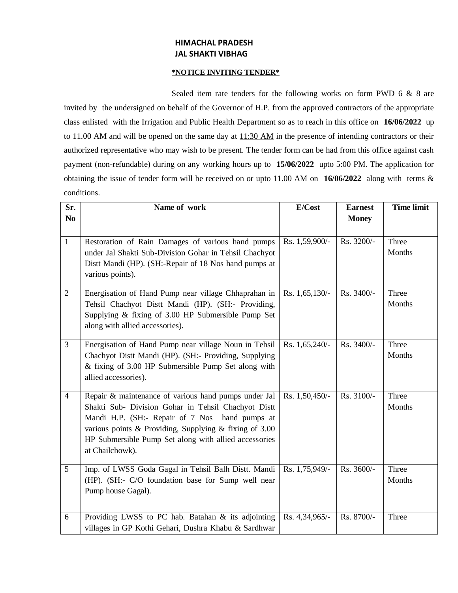## **HIMACHAL PRADESH JAL SHAKTI VIBHAG**

## **\*NOTICE INVITING TENDER\***

Sealed item rate tenders for the following works on form PWD 6 & 8 are invited by the undersigned on behalf of the Governor of H.P. from the approved contractors of the appropriate class enlisted with the Irrigation and Public Health Department so as to reach in this office on **16/06/2022** up to 11.00 AM and will be opened on the same day at  $11:30$  AM in the presence of intending contractors or their authorized representative who may wish to be present. The tender form can be had from this office against cash payment (non-refundable) during on any working hours up to **15/06/2022** upto 5:00 PM. The application for obtaining the issue of tender form will be received on or upto 11.00 AM on **16/06/2022** along with terms & conditions.

| Sr.            | Name of work                                                                                                | E/Cost         | <b>Earnest</b> | <b>Time limit</b> |
|----------------|-------------------------------------------------------------------------------------------------------------|----------------|----------------|-------------------|
| N <sub>0</sub> |                                                                                                             |                | <b>Money</b>   |                   |
|                |                                                                                                             |                |                |                   |
| $\mathbf{1}$   | Restoration of Rain Damages of various hand pumps                                                           | Rs. 1,59,900/- | Rs. 3200/-     | Three             |
|                | under Jal Shakti Sub-Division Gohar in Tehsil Chachyot                                                      |                |                | Months            |
|                | Distt Mandi (HP). (SH:-Repair of 18 Nos hand pumps at                                                       |                |                |                   |
|                | various points).                                                                                            |                |                |                   |
| $\overline{2}$ | Energisation of Hand Pump near village Chhaprahan in                                                        | Rs. 1,65,130/- | Rs. 3400/-     | Three             |
|                | Tehsil Chachyot Distt Mandi (HP). (SH:- Providing,                                                          |                |                | Months            |
|                | Supplying & fixing of 3.00 HP Submersible Pump Set                                                          |                |                |                   |
|                | along with allied accessories).                                                                             |                |                |                   |
| $\overline{3}$ | Energisation of Hand Pump near village Noun in Tehsil                                                       | Rs. 1,65,240/- | Rs. 3400/-     | Three             |
|                | Chachyot Distt Mandi (HP). (SH:- Providing, Supplying                                                       |                |                | Months            |
|                | & fixing of 3.00 HP Submersible Pump Set along with                                                         |                |                |                   |
|                | allied accessories).                                                                                        |                |                |                   |
|                |                                                                                                             | Rs. 1,50,450/- | Rs. 3100/-     |                   |
| $\overline{4}$ | Repair & maintenance of various hand pumps under Jal<br>Shakti Sub- Division Gohar in Tehsil Chachyot Distt |                |                | Three<br>Months   |
|                | Mandi H.P. (SH:- Repair of 7 Nos hand pumps at                                                              |                |                |                   |
|                | various points $\&$ Providing, Supplying $\&$ fixing of 3.00                                                |                |                |                   |
|                | HP Submersible Pump Set along with allied accessories                                                       |                |                |                   |
|                | at Chailchowk).                                                                                             |                |                |                   |
|                |                                                                                                             |                |                |                   |
| 5              | Imp. of LWSS Goda Gagal in Tehsil Balh Distt. Mandi                                                         | Rs. 1,75,949/- | Rs. 3600/-     | Three<br>Months   |
|                | (HP). (SH:- C/O foundation base for Sump well near<br>Pump house Gagal).                                    |                |                |                   |
|                |                                                                                                             |                |                |                   |
|                |                                                                                                             |                |                |                   |
| 6              | Providing LWSS to PC hab. Batahan & its adjointing<br>villages in GP Kothi Gehari, Dushra Khabu & Sardhwar  | Rs. 4,34,965/- | Rs. 8700/-     | Three             |
|                |                                                                                                             |                |                |                   |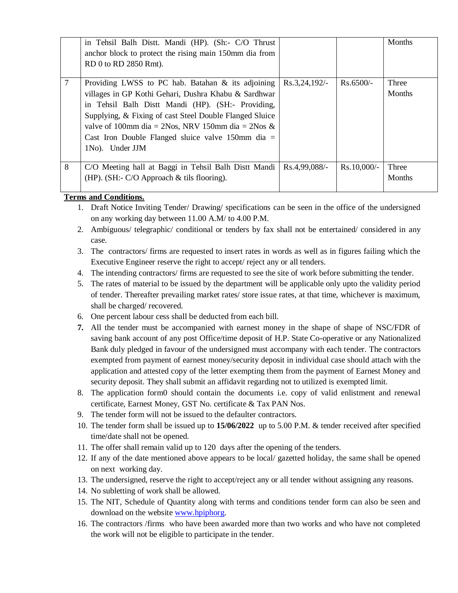|                              | in Tehsil Balh Distt. Mandi (HP). (Sh:- C/O Thrust<br>anchor block to protect the rising main 150mm dia from<br>RD 0 to RD 2850 Rmt). |               |             | Months |  |  |
|------------------------------|---------------------------------------------------------------------------------------------------------------------------------------|---------------|-------------|--------|--|--|
| 7                            | Providing LWSS to PC hab. Batahan $\&$ its adjoining                                                                                  | Rs.3,24,192/- | $Rs.6500/-$ | Three  |  |  |
|                              | villages in GP Kothi Gehari, Dushra Khabu & Sardhwar                                                                                  |               |             | Months |  |  |
|                              | in Tehsil Balh Distt Mandi (HP). (SH:- Providing,                                                                                     |               |             |        |  |  |
|                              | Supplying, & Fixing of cast Steel Double Flanged Sluice                                                                               |               |             |        |  |  |
|                              | valve of 100mm dia = 2Nos, NRV 150mm dia = 2Nos &                                                                                     |               |             |        |  |  |
|                              | Cast Iron Double Flanged sluice valve 150mm dia $=$                                                                                   |               |             |        |  |  |
|                              | 1No). Under JJM                                                                                                                       |               |             |        |  |  |
|                              |                                                                                                                                       |               |             |        |  |  |
| 8                            | C/O Meeting hall at Baggi in Tehsil Balh Distt Mandi                                                                                  | Rs.4,99,088/- | Rs.10,000/- | Three  |  |  |
|                              | (HP). (SH:- $C/O$ Approach $&$ tils flooring).                                                                                        |               |             | Months |  |  |
|                              |                                                                                                                                       |               |             |        |  |  |
| <b>Terms and Conditions.</b> |                                                                                                                                       |               |             |        |  |  |
|                              | 1. Draft Notice Inviting Tender/Drawing/ specifications can be seen in the office of the undersigned                                  |               |             |        |  |  |

- - on any working day between 11.00 A.M/ to 4.00 P.M. 2. Ambiguous/ telegraphic/ conditional or tenders by fax shall not be entertained/ considered in any case.
	- 3. The contractors/ firms are requested to insert rates in words as well as in figures failing which the Executive Engineer reserve the right to accept/ reject any or all tenders.
	- 4. The intending contractors/ firms are requested to see the site of work before submitting the tender.
	- 5. The rates of material to be issued by the department will be applicable only upto the validity period of tender. Thereafter prevailing market rates/ store issue rates, at that time, whichever is maximum, shall be charged/ recovered.
	- 6. One percent labour cess shall be deducted from each bill.
	- **7.** All the tender must be accompanied with earnest money in the shape of shape of NSC/FDR of saving bank account of any post Office/time deposit of H.P. State Co-operative or any Nationalized Bank duly pledged in favour of the undersigned must accompany with each tender. The contractors exempted from payment of earnest money/security deposit in individual case should attach with the application and attested copy of the letter exempting them from the payment of Earnest Money and security deposit. They shall submit an affidavit regarding not to utilized is exempted limit.
	- 8. The application form0 should contain the documents i.e. copy of valid enlistment and renewal certificate, Earnest Money, GST No. certificate & Tax PAN Nos.
	- 9. The tender form will not be issued to the defaulter contractors.
	- 10. The tender form shall be issued up to **15/06/2022** up to 5.00 P.M. & tender received after specified time/date shall not be opened.
	- 11. The offer shall remain valid up to 120 days after the opening of the tenders.
	- 12. If any of the date mentioned above appears to be local/ gazetted holiday, the same shall be opened on next working day.
	- 13. The undersigned, reserve the right to accept/reject any or all tender without assigning any reasons.
	- 14. No subletting of work shall be allowed.
	- 15. The NIT, Schedule of Quantity along with terms and conditions tender form can also be seen and download on the website [www.hpiphorg.](http://www.hpiphorg/)
	- 16. The contractors /firms who have been awarded more than two works and who have not completed the work will not be eligible to participate in the tender.